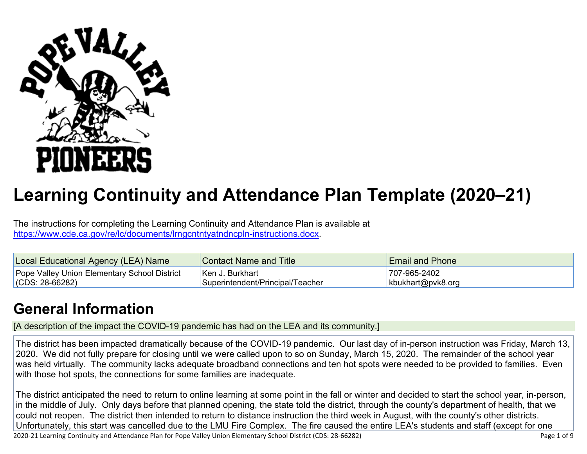

# **Learning Continuity and Attendance Plan Template (2020–21)**

The instructions for completing the Learning Continuity and Attendance Plan is available at <https://www.cde.ca.gov/re/lc/documents/lrngcntntyatndncpln-instructions.docx>.

| Local Educational Agency (LEA) Name          | <b>Contact Name and Title</b>    | <b>Email and Phone</b> |
|----------------------------------------------|----------------------------------|------------------------|
| Pope Valley Union Elementary School District | ⊺Ken J. Burkhart_                | 707-965-2402           |
| $(CDS: 28-66282)$                            | Superintendent/Principal/Teacher | kbukhart@pvk8.org      |

### **General [Information](http://www.doc-tracking.com/screenshots/20LCP/Instructions/20LCPInstructions.htm#generalinformation)**

[A description of the impact the COVID-19 pandemic has had on the LEA and its community.]

The district has been impacted dramatically because of the COVID-19 pandemic. Our last day of in-person instruction was Friday, March 13, 2020. We did not fully prepare for closing until we were called upon to so on Sunday, March 15, 2020. The remainder of the school year was held virtually. The community lacks adequate broadband connections and ten hot spots were needed to be provided to families. Even with those hot spots, the connections for some families are inadequate.

The district anticipated the need to return to online learning at some point in the fall or winter and decided to start the school year, in-person, in the middle of July. Only days before that planned opening, the state told the district, through the county's department of health, that we could not reopen. The district then intended to return to distance instruction the third week in August, with the county's other districts. Unfortunately, this start was cancelled due to the LMU Fire Complex. The fire caused the entire LEA's students and staff (except for one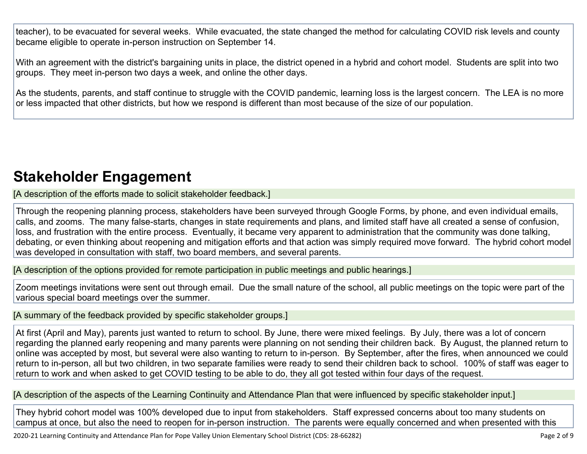teacher), to be evacuated for several weeks. While evacuated, the state changed the method for calculating COVID risk levels and county became eligible to operate in-person instruction on September 14.

With an agreement with the district's bargaining units in place, the district opened in a hybrid and cohort model. Students are split into two groups. They meet in-person two days a week, and online the other days.

As the students, parents, and staff continue to struggle with the COVID pandemic, learning loss is the largest concern. The LEA is no more or less impacted that other districts, but how we respond is different than most because of the size of our population.

### **Stakeholder [Engagement](http://www.doc-tracking.com/screenshots/20LCP/Instructions/20LCPInstructions.htm#stakeholderengagement)**

[A description of the efforts made to solicit stakeholder feedback.]

Through the reopening planning process, stakeholders have been surveyed through Google Forms, by phone, and even individual emails, calls, and zooms. The many false-starts, changes in state requirements and plans, and limited staff have all created a sense of confusion, loss, and frustration with the entire process. Eventually, it became very apparent to administration that the community was done talking, debating, or even thinking about reopening and mitigation efforts and that action was simply required move forward. The hybrid cohort model was developed in consultation with staff, two board members, and several parents.

[A description of the options provided for remote participation in public meetings and public hearings.]

Zoom meetings invitations were sent out through email. Due the small nature of the school, all public meetings on the topic were part of the various special board meetings over the summer.

[A summary of the feedback provided by specific stakeholder groups.]

At first (April and May), parents just wanted to return to school. By June, there were mixed feelings. By July, there was a lot of concern regarding the planned early reopening and many parents were planning on not sending their children back. By August, the planned return to online was accepted by most, but several were also wanting to return to in-person. By September, after the fires, when announced we could return to in-person, all but two children, in two separate families were ready to send their children back to school. 100% of staff was eager to return to work and when asked to get COVID testing to be able to do, they all got tested within four days of the request.

[A description of the aspects of the Learning Continuity and Attendance Plan that were influenced by specific stakeholder input.]

They hybrid cohort model was 100% developed due to input from stakeholders. Staff expressed concerns about too many students on campus at once, but also the need to reopen for in-person instruction. The parents were equally concerned and when presented with this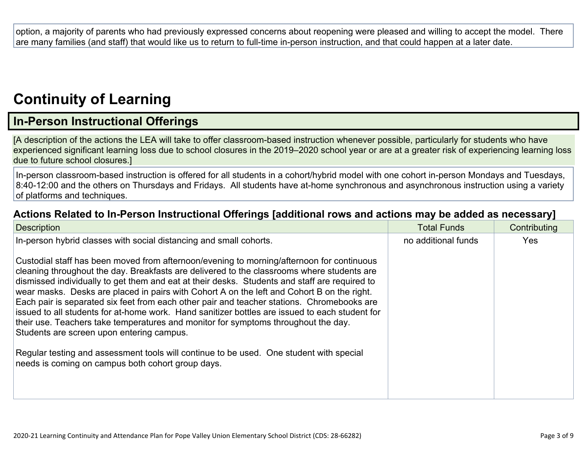option, a majority of parents who had previously expressed concerns about reopening were pleased and willing to accept the model. There are many families (and staff) that would like us to return to full-time in-person instruction, and that could happen at a later date.

## **[Continuity](http://www.doc-tracking.com/screenshots/20LCP/Instructions/20LCPInstructions.htm#ContinuityofLearning) of Learnin[g](http://www.doc-tracking.com/screenshots/20LCP/Instructions/20LCPInstructions.htm#ContinuityofLearning)**

### **In-Person [Instructional](http://www.doc-tracking.com/screenshots/20LCP/Instructions/20LCPInstructions.htm#ContinuityofLearning1) Offerings**

[A description of the actions the LEA will take to offer classroom-based instruction whenever possible, particularly for students who have experienced significant learning loss due to school closures in the 2019–2020 school year or are at a greater risk of experiencing learning loss due to future school closures.]

In-person classroom-based instruction is offered for all students in a cohort/hybrid model with one cohort in-person Mondays and Tuesdays, 8:40-12:00 and the others on Thursdays and Fridays. All students have at-home synchronous and asynchronous instruction using a variety of platforms and techniques.

#### **Actions Related to In-Person [Instructional](http://www.doc-tracking.com/screenshots/20LCP/Instructions/20LCPInstructions.htm#ContinuityofLearning2) Offerings [additional rows and actions may be added as necessary]**

| <b>Description</b>                                                                                                                                                                                                                                                                                                                                                                                                                                                                                                                                                                                                                                                                                                        | <b>Total Funds</b>  | Contributing |
|---------------------------------------------------------------------------------------------------------------------------------------------------------------------------------------------------------------------------------------------------------------------------------------------------------------------------------------------------------------------------------------------------------------------------------------------------------------------------------------------------------------------------------------------------------------------------------------------------------------------------------------------------------------------------------------------------------------------------|---------------------|--------------|
| In-person hybrid classes with social distancing and small cohorts.                                                                                                                                                                                                                                                                                                                                                                                                                                                                                                                                                                                                                                                        | no additional funds | <b>Yes</b>   |
| Custodial staff has been moved from afternoon/evening to morning/afternoon for continuous<br>cleaning throughout the day. Breakfasts are delivered to the classrooms where students are<br>dismissed individually to get them and eat at their desks. Students and staff are required to<br>wear masks. Desks are placed in pairs with Cohort A on the left and Cohort B on the right.<br>Each pair is separated six feet from each other pair and teacher stations. Chromebooks are<br>issued to all students for at-home work. Hand sanitizer bottles are issued to each student for<br>their use. Teachers take temperatures and monitor for symptoms throughout the day.<br>Students are screen upon entering campus. |                     |              |
| Regular testing and assessment tools will continue to be used. One student with special<br>needs is coming on campus both cohort group days.                                                                                                                                                                                                                                                                                                                                                                                                                                                                                                                                                                              |                     |              |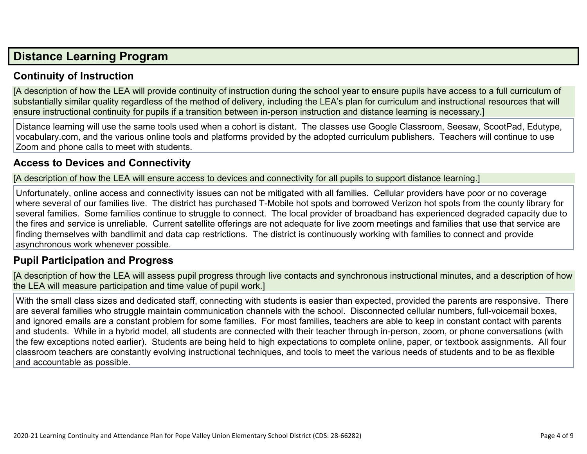### **Distance [Learning](http://www.doc-tracking.com/screenshots/20LCP/Instructions/20LCPInstructions.htm#DistanceLearningProgram) Program**

#### **Continuity of [Instruction](http://www.doc-tracking.com/screenshots/20LCP/Instructions/20LCPInstructions.htm#DistanceLearningProgram1)**

[A description of how the LEA will provide continuity of instruction during the school year to ensure pupils have access to a full curriculum of substantially similar quality regardless of the method of delivery, including the LEA's plan for curriculum and instructional resources that will ensure instructional continuity for pupils if a transition between in-person instruction and distance learning is necessary.]

Distance learning will use the same tools used when a cohort is distant. The classes use Google Classroom, Seesaw, ScootPad, Edutype, vocabulary.com, and the various online tools and platforms provided by the adopted curriculum publishers. Teachers will continue to use Zoom and phone calls to meet with students.

#### **Access to Devices and [Connectivity](http://www.doc-tracking.com/screenshots/20LCP/Instructions/20LCPInstructions.htm#DistanceLearningProgram2)**

[A description of how the LEA will ensure access to devices and connectivity for all pupils to support distance learning.]

Unfortunately, online access and connectivity issues can not be mitigated with all families. Cellular providers have poor or no coverage where several of our families live. The district has purchased T-Mobile hot spots and borrowed Verizon hot spots from the county library for several families. Some families continue to struggle to connect. The local provider of broadband has experienced degraded capacity due to the fires and service is unreliable. Current satellite offerings are not adequate for live zoom meetings and families that use that service are finding themselves with bandlimit and data cap restrictions. The district is continuously working with families to connect and provide asynchronous work whenever possible.

#### **Pupil [Participation](http://www.doc-tracking.com/screenshots/20LCP/Instructions/20LCPInstructions.htm#DistanceLearningProgram3) and Progress**

[A description of how the LEA will assess pupil progress through live contacts and synchronous instructional minutes, and a description of how the LEA will measure participation and time value of pupil work.]

With the small class sizes and dedicated staff, connecting with students is easier than expected, provided the parents are responsive. There are several families who struggle maintain communication channels with the school. Disconnected cellular numbers, full-voicemail boxes, and ignored emails are a constant problem for some families. For most families, teachers are able to keep in constant contact with parents and students. While in a hybrid model, all students are connected with their teacher through in-person, zoom, or phone conversations (with the few exceptions noted earlier). Students are being held to high expectations to complete online, paper, or textbook assignments. All four classroom teachers are constantly evolving instructional techniques, and tools to meet the various needs of students and to be as flexible and accountable as possible.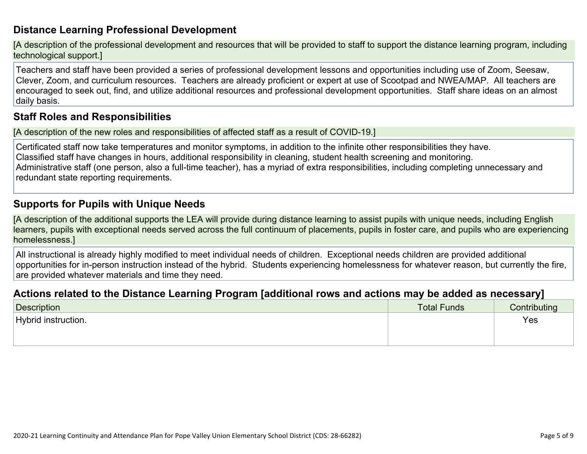#### **Distance Learning Professional [Development](http://www.doc-tracking.com/screenshots/20LCP/Instructions/20LCPInstructions.htm#DistanceLearningProgram4)**

[A description of the professional development and resources that will be provided to staff to support the distance learning program, including technological support.]

Teachers and staff have been provided a series of professional development lessons and opportunities including use of Zoom, Seesaw, Clever, Zoom, and curriculum resources. Teachers are already proficient or expert at use of Scootpad and NWEA/MAP. All teachers are encouraged to seek out, find, and utilize additional resources and professional development opportunities. Staff share ideas on an almost daily basis.

#### **Staff Roles and [Responsibilities](http://www.doc-tracking.com/screenshots/20LCP/Instructions/20LCPInstructions.htm#DistanceLearningProgram5)**

[A description of the new roles and responsibilities of affected staff as a result of COVID-19.]

Certificated staff now take temperatures and monitor symptoms, in addition to the infinite other responsibilities they have. Classified staff have changes in hours, additional responsibility in cleaning, student health screening and monitoring. Administrative staff (one person, also a full-time teacher), has a myriad of extra responsibilities, including completing unnecessary and redundant state reporting requirements.

#### **[Supports](http://www.doc-tracking.com/screenshots/20LCP/Instructions/20LCPInstructions.htm#DistanceLearningProgram6) for Pupils with Unique Needs**

[A description of the additional supports the LEA will provide during distance learning to assist pupils with unique needs, including English learners, pupils with exceptional needs served across the full continuum of placements, pupils in foster care, and pupils who are experiencing homelessness.]

All instructional is already highly modified to meet individual needs of children. Exceptional needs children are provided additional opportunities for in-person instruction instead of the hybrid. Students experiencing homelessness for whatever reason, but currently the fire, are provided whatever materials and time they need.

#### **Actions related to the Distance Learning Program [additional rows and actions may be added as [necessary\]](http://www.doc-tracking.com/screenshots/20LCP/Instructions/20LCPInstructions.htm#DistanceLearningProgram7)**

| Description         | <b>Total Funds</b> | ---<br>Contributing |
|---------------------|--------------------|---------------------|
| Hybrid instruction. |                    | Yes                 |
|                     |                    |                     |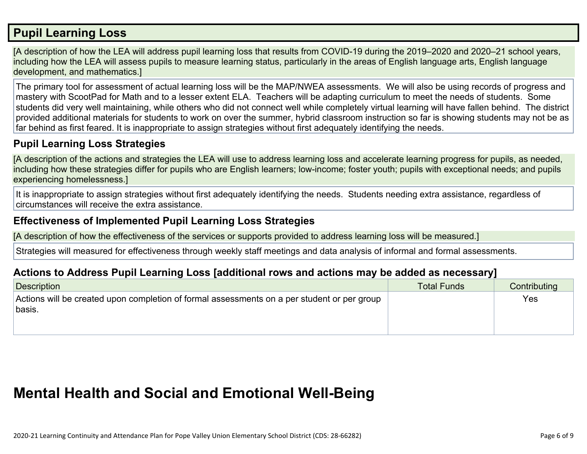### **Pupil [Learning](http://www.doc-tracking.com/screenshots/20LCP/Instructions/20LCPInstructions.htm#PupilLearningLoss) Loss**

[A description of how the LEA will address pupil learning loss that results from COVID-19 during the 2019–2020 and 2020–21 school years, including how the LEA will assess pupils to measure learning status, particularly in the areas of English language arts, English language development, and mathematics.]

The primary tool for assessment of actual learning loss will be the MAP/NWEA assessments. We will also be using records of progress and mastery with ScootPad for Math and to a lesser extent ELA. Teachers will be adapting curriculum to meet the needs of students. Some students did very well maintaining, while others who did not connect well while completely virtual learning will have fallen behind. The district provided additional materials for students to work on over the summer, hybrid classroom instruction so far is showing students may not be as far behind as first feared. It is inappropriate to assign strategies without first adequately identifying the needs.

#### **Pupil Learning Loss [Strategies](http://www.doc-tracking.com/screenshots/20LCP/Instructions/20LCPInstructions.htm#PupilLearningLoss1)**

[A description of the actions and strategies the LEA will use to address learning loss and accelerate learning progress for pupils, as needed, including how these strategies differ for pupils who are English learners; low-income; foster youth; pupils with exceptional needs; and pupils experiencing homelessness.]

It is inappropriate to assign strategies without first adequately identifying the needs. Students needing extra assistance, regardless of circumstances will receive the extra assistance.

#### **[Effectiveness](http://www.doc-tracking.com/screenshots/20LCP/Instructions/20LCPInstructions.htm#PupilLearningLoss2) of Implemented Pupil Learning Loss Strategies**

[A description of how the effectiveness of the services or supports provided to address learning loss will be measured.]

Strategies will measured for effectiveness through weekly staff meetings and data analysis of informal and formal assessments.

#### **Actions to Address Pupil Learning Loss [additional rows and actions may be added as [necessary\]](http://www.doc-tracking.com/screenshots/20LCP/Instructions/20LCPInstructions.htm#PupilLearningLoss4)**

| Description                                                                                 | <b>Total Funds</b> | Contributing |
|---------------------------------------------------------------------------------------------|--------------------|--------------|
| Actions will be created upon completion of formal assessments on a per student or per group |                    | Yes          |
| basis.                                                                                      |                    |              |
|                                                                                             |                    |              |

### **Mental Health and Social and Emotional [Well-Being](http://www.doc-tracking.com/screenshots/20LCP/Instructions/20LCPInstructions.htm#MentalHealthandSocialandEmotional)**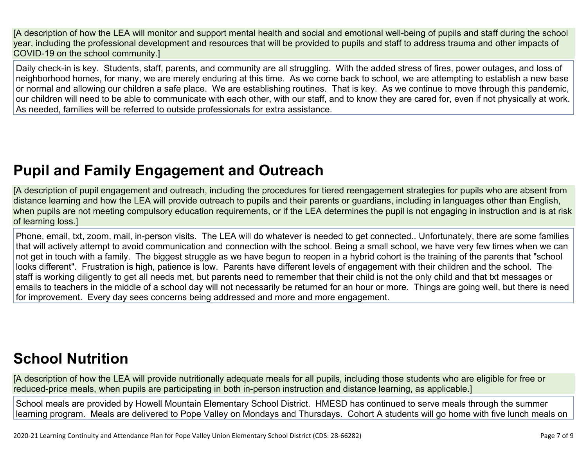[A description of how the LEA will monitor and support mental health and social and emotional well-being of pupils and staff during the school year, including the professional development and resources that will be provided to pupils and staff to address trauma and other impacts of COVID-19 on the school community.]

Daily check-in is key. Students, staff, parents, and community are all struggling. With the added stress of fires, power outages, and loss of neighborhood homes, for many, we are merely enduring at this time. As we come back to school, we are attempting to establish a new base or normal and allowing our children a safe place. We are establishing routines. That is key. As we continue to move through this pandemic, our children will need to be able to communicate with each other, with our staff, and to know they are cared for, even if not physically at work. As needed, families will be referred to outside professionals for extra assistance.

## **Pupil and Family [Engagement](http://www.doc-tracking.com/screenshots/20LCP/Instructions/20LCPInstructions.htm#PupilEngagementandOutreach) and Outreach**

[A description of pupil engagement and outreach, including the procedures for tiered reengagement strategies for pupils who are absent from distance learning and how the LEA will provide outreach to pupils and their parents or guardians, including in languages other than English, when pupils are not meeting compulsory education requirements, or if the LEA determines the pupil is not engaging in instruction and is at risk of learning loss.]

Phone, email, txt, zoom, mail, in-person visits. The LEA will do whatever is needed to get connected.. Unfortunately, there are some families that will actively attempt to avoid communication and connection with the school. Being a small school, we have very few times when we can not get in touch with a family. The biggest struggle as we have begun to reopen in a hybrid cohort is the training of the parents that "school looks different". Frustration is high, patience is low. Parents have different levels of engagement with their children and the school. The staff is working diligently to get all needs met, but parents need to remember that their child is not the only child and that txt messages or emails to teachers in the middle of a school day will not necessarily be returned for an hour or more. Things are going well, but there is need for improvement. Every day sees concerns being addressed and more and more engagement.

## **School [Nutrition](http://www.doc-tracking.com/screenshots/20LCP/Instructions/20LCPInstructions.htm#SchoolNutrition)**

[A description of how the LEA will provide nutritionally adequate meals for all pupils, including those students who are eligible for free or reduced-price meals, when pupils are participating in both in-person instruction and distance learning, as applicable.]

School meals are provided by Howell Mountain Elementary School District. HMESD has continued to serve meals through the summer learning program. Meals are delivered to Pope Valley on Mondays and Thursdays. Cohort A students will go home with five lunch meals on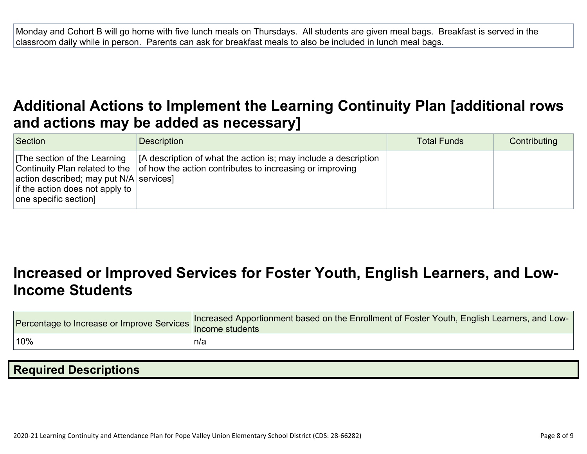Monday and Cohort B will go home with five lunch meals on Thursdays. All students are given meal bags. Breakfast is served in the classroom daily while in person. Parents can ask for breakfast meals to also be included in lunch meal bags.

### **Additional Actions to Implement the Learning Continuity Plan [\[additional](http://www.doc-tracking.com/screenshots/20LCP/Instructions/20LCPInstructions.htm#AdditionalActions) rows and actions may be added as [necessary\]](http://www.doc-tracking.com/screenshots/20LCP/Instructions/20LCPInstructions.htm#AdditionalActions)**

| Section                                                                                                                                                                | <b>Description</b>                                                                                                          | <b>Total Funds</b> | Contributing |
|------------------------------------------------------------------------------------------------------------------------------------------------------------------------|-----------------------------------------------------------------------------------------------------------------------------|--------------------|--------------|
| The section of the Learning<br>Continuity Plan related to the<br>action described; may put $N/A$ services]<br>if the action does not apply to<br>one specific section] | [A description of what the action is; may include a description<br>of how the action contributes to increasing or improving |                    |              |

### **[Increased](http://www.doc-tracking.com/screenshots/20LCP/Instructions/20LCPInstructions.htm#IncreasedorImprovedServices) or Improved Services for Foster Youth, English Learners, and Low-Income [Students](http://www.doc-tracking.com/screenshots/20LCP/Instructions/20LCPInstructions.htm#IncreasedorImprovedServices)**

| Procentage to Increase or Improve Services   Increased Procential | Increased Apportionment based on the Enrollment of Foster Youth, English Learners, and Low- |
|-------------------------------------------------------------------|---------------------------------------------------------------------------------------------|
| $10\%$                                                            | ็n/a                                                                                        |

| <b>Required Descriptions</b> |  |
|------------------------------|--|